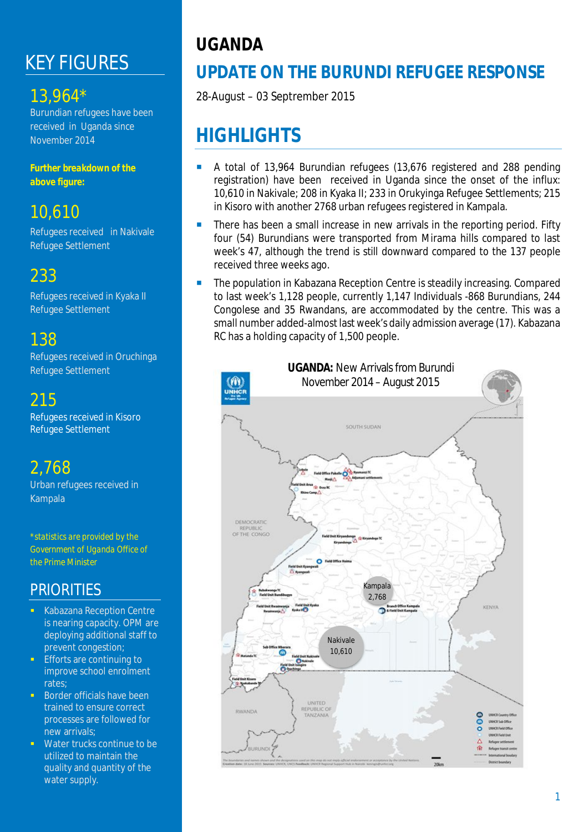# KEY FIGURES

## 13,964\*

Burundian refugees have been received in Uganda since November 2014

*Further breakdown of the above figure:*

## 10,610

Refugees received in Nakivale Refugee Settlement

## 233

Refugees received in Kyaka II Refugee Settlement

## 138

Refugees received in Oruchinga Refugee Settlement

## 215

Refugees received in Kisoro Refugee Settlement

# 2,768

Urban refugees received in Kampala

*\*statistics are provided by the Government of Uganda Office of the Prime Minister*

### **PRIORITIES**

- Kabazana Reception Centre is nearing capacity. OPM are deploying additional staff to prevent congestion;
- Efforts are continuing to improve school enrolment rates;
- Border officials have been trained to ensure correct processes are followed for new arrivals;
- **Water trucks continue to be** utilized to maintain the quality and quantity of the water supply.

# **UGANDA**

# **UPDATE ON THE BURUNDI REFUGEE RESPONSE**

28-August – 03 Septrember 2015

# **HIGHLIGHTS**

- A total of 13,964 Burundian refugees (13,676 registered and 288 pending registration) have been received in Uganda since the onset of the influx: 10,610 in Nakivale; 208 in Kyaka II; 233 in Orukyinga Refugee Settlements; 215 in Kisoro with another 2768 urban refugees registered in Kampala.
- There has been a small increase in new arrivals in the reporting period. Fifty four (54) Burundians were transported from Mirama hills compared to last week's 47, although the trend is still downward compared to the 137 people received three weeks ago.
- The population in Kabazana Reception Centre is steadily increasing. Compared to last week's 1,128 people, currently 1,147 Individuals -868 Burundians, 244 Congolese and 35 Rwandans, are accommodated by the centre. This was a small number added-almost last week's daily admission average (17). Kabazana RC has a holding capacity of 1,500 people.

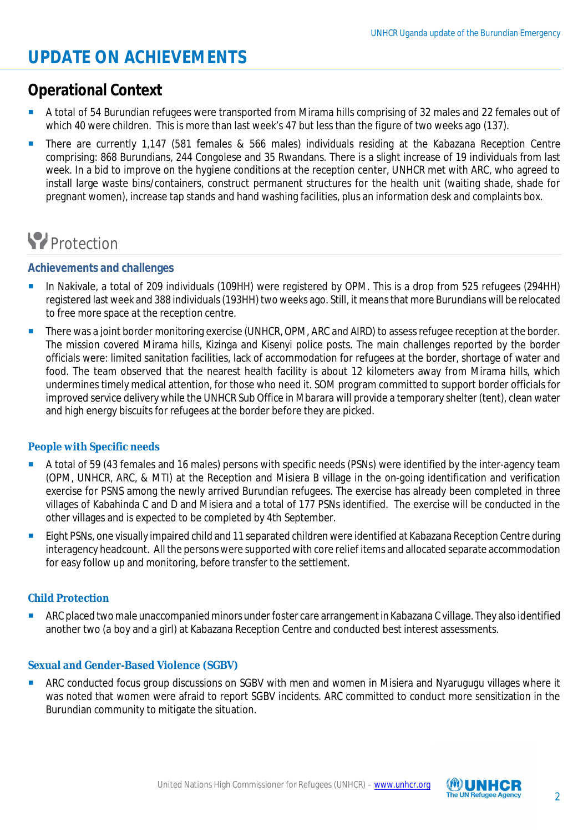## **UPDATE ON ACHIEVEMENTS**

### **Operational Context**

- A total of 54 Burundian refugees were transported from Mirama hills comprising of 32 males and 22 females out of which 40 were children. This is more than last week's 47 but less than the figure of two weeks ago (137).
- **There are currently 1,147 (581 females & 566 males) individuals residing at the Kabazana Reception Centre** comprising: 868 Burundians, 244 Congolese and 35 Rwandans. There is a slight increase of 19 individuals from last week. In a bid to improve on the hygiene conditions at the reception center, UNHCR met with ARC, who agreed to install large waste bins/containers, construct permanent structures for the health unit (waiting shade, shade for pregnant women), increase tap stands and hand washing facilities, plus an information desk and complaints box.

# **P**rotection

### **Achievements and challenges**

- In Nakivale, a total of 209 individuals (109HH) were registered by OPM. This is a drop from 525 refugees (294HH) registered last week and 388 individuals (193HH) two weeks ago. Still, it means that more Burundians will be relocated to free more space at the reception centre.
- **There was a joint border monitoring exercise (UNHCR, OPM, ARC and AIRD) to assess refugee reception at the border.** The mission covered Mirama hills, Kizinga and Kisenyi police posts. The main challenges reported by the border officials were: limited sanitation facilities, lack of accommodation for refugees at the border, shortage of water and food. The team observed that the nearest health facility is about 12 kilometers away from Mirama hills, which undermines timely medical attention, for those who need it. SOM program committed to support border officials for improved service delivery while the UNHCR Sub Office in Mbarara will provide a temporary shelter (tent), clean water and high energy biscuits for refugees at the border before they are picked.

### **People with Specific needs**

- A total of 59 (43 females and 16 males) persons with specific needs (PSNs) were identified by the inter-agency team (OPM, UNHCR, ARC, & MTI) at the Reception and Misiera B village in the on-going identification and verification exercise for PSNS among the newly arrived Burundian refugees. The exercise has already been completed in three villages of Kabahinda C and D and Misiera and a total of 177 PSNs identified. The exercise will be conducted in the other villages and is expected to be completed by 4th September.
- Eight PSNs, one visually impaired child and 11 separated children were identified at Kabazana Reception Centre during interagency headcount. All the persons were supported with core relief items and allocated separate accommodation for easy follow up and monitoring, before transfer to the settlement.

### **Child Protection**

 ARC placed twomale unaccompanied minors under foster care arrangement in Kabazana C village. They also identified another two (a boy and a girl) at Kabazana Reception Centre and conducted best interest assessments.

### **Sexual and Gender-Based Violence (SGBV)**

 ARC conducted focus group discussions on SGBV with men and women in Misiera and Nyarugugu villages where it was noted that women were afraid to report SGBV incidents. ARC committed to conduct more sensitization in the Burundian community to mitigate the situation.

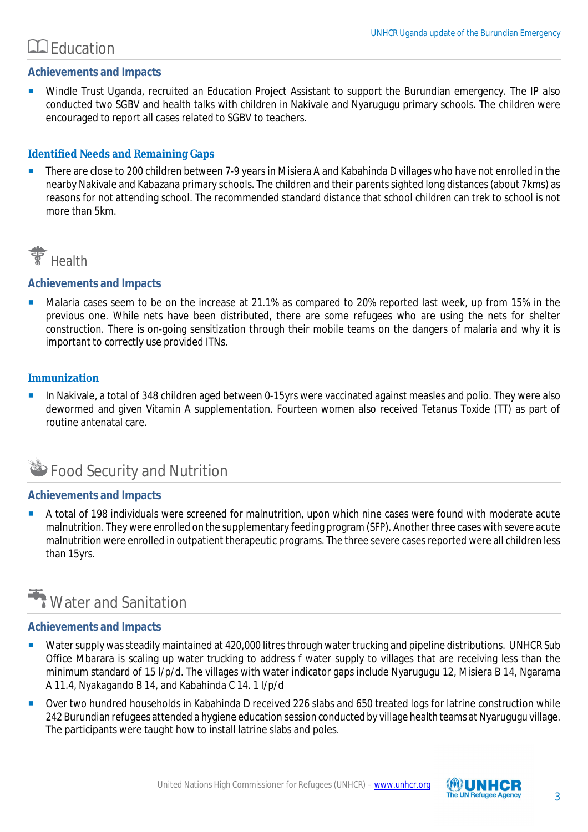### Education

### **Achievements and Impacts**

**Windle Trust Uganda, recruited an Education Project Assistant to support the Burundian emergency. The IP also** conducted two SGBV and health talks with children in Nakivale and Nyarugugu primary schools. The children were encouraged to report all cases related to SGBV to teachers.

### **Identified Needs and Remaining Gaps**

There are close to 200 children between 7-9 years in Misiera A and Kabahinda D villages who have not enrolled in the nearby Nakivale and Kabazana primary schools. The children and their parents sighted long distances (about 7kms) as reasons for not attending school. The recommended standard distance that school children can trek to school is not more than 5km.



### **Achievements and Impacts**

 Malaria cases seem to be on the increase at 21.1% as compared to 20% reported last week, up from 15% in the previous one. While nets have been distributed, there are some refugees who are using the nets for shelter construction. There is on-going sensitization through their mobile teams on the dangers of malaria and why it is important to correctly use provided ITNs.

### **Immunization**

 In Nakivale, a total of 348 children aged between 0-15yrs were vaccinated against measles and polio. They were also dewormed and given Vitamin A supplementation. Fourteen women also received Tetanus Toxide (TT) as part of routine antenatal care.

## Food Security and Nutrition

### **Achievements and Impacts**

 A total of 198 individuals were screened for malnutrition, upon which nine cases were found with moderate acute malnutrition. They were enrolled on the supplementary feeding program (SFP). Another three cases with severe acute malnutrition were enrolled in outpatient therapeutic programs. The three severe cases reported were all children less than 15yrs.

# **Water and Sanitation**

### **Achievements and Impacts**

- Water supply was steadily maintained at 420,000 litres through water trucking and pipeline distributions. UNHCR Sub Office Mbarara is scaling up water trucking to address f water supply to villages that are receiving less than the minimum standard of 15 l/p/d. The villages with water indicator gaps include Nyarugugu 12, Misiera B 14, Ngarama A 11.4, Nyakagando B 14, and Kabahinda C 14. 1 l/p/d
- Over two hundred households in Kabahinda D received 226 slabs and 650 treated logs for latrine construction while 242 Burundian refugees attended a hygiene education session conducted by village health teams at Nyarugugu village. The participants were taught how to install latrine slabs and poles.

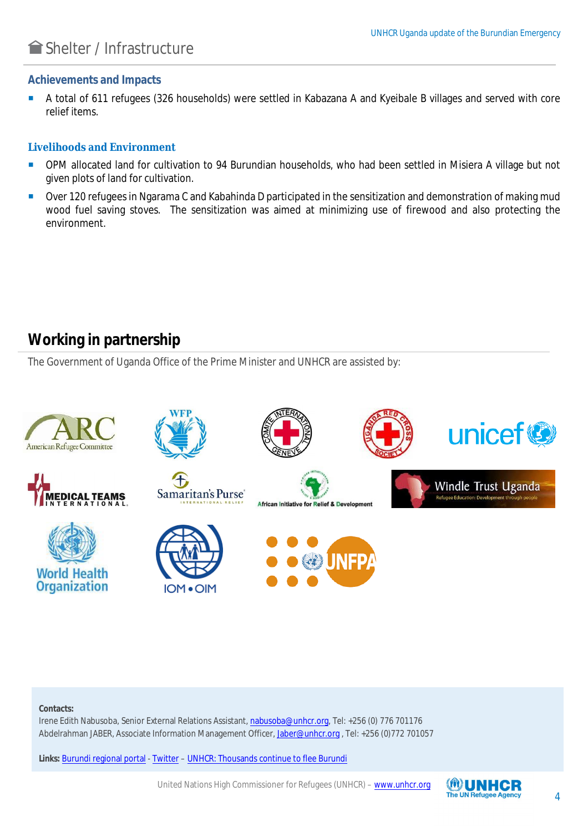### Shelter / Infrastructure

#### **Achievements and Impacts**

A total of 611 refugees (326 households) were settled in Kabazana A and Kyeibale B villages and served with core relief items.

#### **Livelihoods and Environment**

- OPM allocated land for cultivation to 94 Burundian households, who had been settled in Misiera A village but not given plots of land for cultivation.
- Over 120 refugees in Ngarama C and Kabahinda D participated in the sensitization and demonstration of making mud wood fuel saving stoves. The sensitization was aimed at minimizing use of firewood and also protecting the environment.

### **Working in partnership**

The Government of Uganda Office of the Prime Minister and UNHCR are assisted by:



#### **Contacts:**

Irene Edith Nabusoba, Senior External Relations Assistant, nabusoba@unhcr.org, Tel: +256 (0) 776 701176 Abdelrahman JABER, Associate Information Management Officer, Jaber@unhcr.org , Tel: +256 (0)772 701057

**Links:** Burundi regional portal - Twitter – UNHCR: Thousands continue to flee Burundi

United Nations High Commissioner for Refugees (UNHCR) – www.unhcr.org